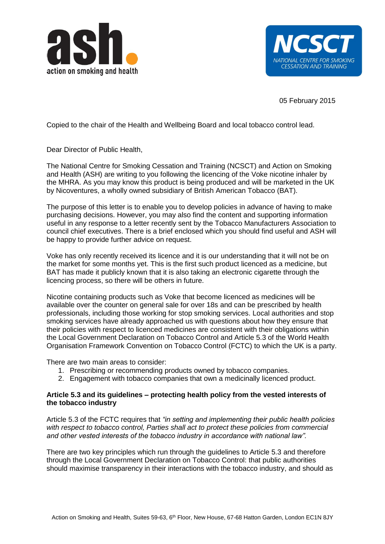



05 February 2015

Copied to the chair of the Health and Wellbeing Board and local tobacco control lead.

Dear Director of Public Health,

The National Centre for Smoking Cessation and Training (NCSCT) and Action on Smoking and Health (ASH) are writing to you following the licencing of the Voke nicotine inhaler by the MHRA. As you may know this product is being produced and will be marketed in the UK by Nicoventures, a wholly owned subsidiary of British American Tobacco (BAT).

The purpose of this letter is to enable you to develop policies in advance of having to make purchasing decisions. However, you may also find the content and supporting information useful in any response to a letter recently sent by the Tobacco Manufacturers Association to council chief executives. There is a brief enclosed which you should find useful and ASH will be happy to provide further advice on request.

Voke has only recently received its licence and it is our understanding that it will not be on the market for some months yet. This is the first such product licenced as a medicine, but BAT has made it publicly known that it is also taking an electronic cigarette through the licencing process, so there will be others in future.

Nicotine containing products such as Voke that become licenced as medicines will be available over the counter on general sale for over 18s and can be prescribed by health professionals, including those working for stop smoking services. Local authorities and stop smoking services have already approached us with questions about how they ensure that their policies with respect to licenced medicines are consistent with their obligations within the Local Government Declaration on Tobacco Control and Article 5.3 of the World Health Organisation Framework Convention on Tobacco Control (FCTC) to which the UK is a party.

There are two main areas to consider:

- 1. Prescribing or recommending products owned by tobacco companies.
- 2. Engagement with tobacco companies that own a medicinally licenced product.

## **Article 5.3 and its guidelines – protecting health policy from the vested interests of the tobacco industry**

Article 5.3 of the FCTC requires that *"in setting and implementing their public health policies with respect to tobacco control, Parties shall act to protect these policies from commercial and other vested interests of the tobacco industry in accordance with national law".*

There are two key principles which run through the guidelines to Article 5.3 and therefore through the Local Government Declaration on Tobacco Control: that public authorities should maximise transparency in their interactions with the tobacco industry, and should as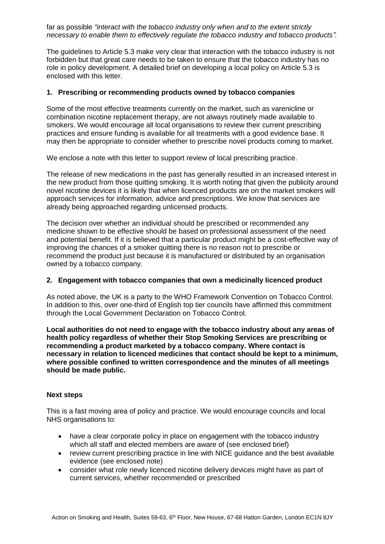far as possible *"interact with the tobacco industry only when and to the extent strictly necessary to enable them to effectively regulate the tobacco industry and tobacco products".*

The guidelines to Article 5.3 make very clear that interaction with the tobacco industry is not forbidden but that great care needs to be taken to ensure that the tobacco industry has no role in policy development. A detailed brief on developing a local policy on Article 5.3 is enclosed with this letter.

## **1. Prescribing or recommending products owned by tobacco companies**

Some of the most effective treatments currently on the market, such as varenicline or combination nicotine replacement therapy, are not always routinely made available to smokers. We would encourage all local organisations to review their current prescribing practices and ensure funding is available for all treatments with a good evidence base. It may then be appropriate to consider whether to prescribe novel products coming to market.

We enclose a note with this letter to support review of local prescribing practice.

The release of new medications in the past has generally resulted in an increased interest in the new product from those quitting smoking. It is worth noting that given the publicity around novel nicotine devices it is likely that when licenced products are on the market smokers will approach services for information, advice and prescriptions. We know that services are already being approached regarding unlicensed products.

The decision over whether an individual should be prescribed or recommended any medicine shown to be effective should be based on professional assessment of the need and potential benefit. If it is believed that a particular product might be a cost-effective way of improving the chances of a smoker quitting there is no reason not to prescribe or recommend the product just because it is manufactured or distributed by an organisation owned by a tobacco company.

## **2. Engagement with tobacco companies that own a medicinally licenced product**

As noted above, the UK is a party to the WHO Framework Convention on Tobacco Control. In addition to this, over one-third of English top tier councils have affirmed this commitment through the Local Government Declaration on Tobacco Control.

**Local authorities do not need to engage with the tobacco industry about any areas of health policy regardless of whether their Stop Smoking Services are prescribing or recommending a product marketed by a tobacco company. Where contact is necessary in relation to licenced medicines that contact should be kept to a minimum, where possible confined to written correspondence and the minutes of all meetings should be made public.** 

## **Next steps**

This is a fast moving area of policy and practice. We would encourage councils and local NHS organisations to:

- have a clear corporate policy in place on engagement with the tobacco industry which all staff and elected members are aware of (see enclosed brief)
- review current prescribing practice in line with NICE guidance and the best available evidence (see enclosed note)
- consider what role newly licenced nicotine delivery devices might have as part of current services, whether recommended or prescribed